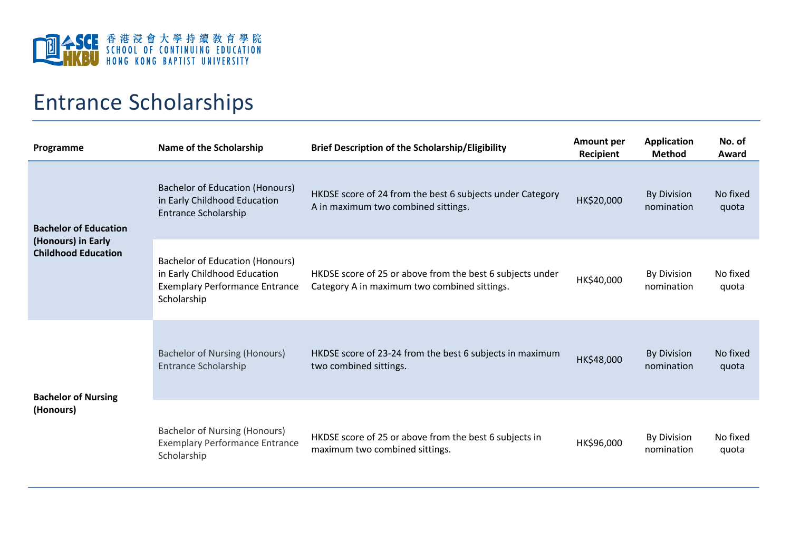

## Entrance Scholarships

| Programme                                                                        | Name of the Scholarship                                                                                                        | <b>Brief Description of the Scholarship/Eligibility</b>                                                   | <b>Amount per</b><br>Recipient | <b>Application</b><br><b>Method</b> | No. of<br>Award   |
|----------------------------------------------------------------------------------|--------------------------------------------------------------------------------------------------------------------------------|-----------------------------------------------------------------------------------------------------------|--------------------------------|-------------------------------------|-------------------|
| <b>Bachelor of Education</b><br>(Honours) in Early<br><b>Childhood Education</b> | <b>Bachelor of Education (Honours)</b><br>in Early Childhood Education<br><b>Entrance Scholarship</b>                          | HKDSE score of 24 from the best 6 subjects under Category<br>A in maximum two combined sittings.          | HK\$20,000                     | <b>By Division</b><br>nomination    | No fixed<br>quota |
|                                                                                  | <b>Bachelor of Education (Honours)</b><br>in Early Childhood Education<br><b>Exemplary Performance Entrance</b><br>Scholarship | HKDSE score of 25 or above from the best 6 subjects under<br>Category A in maximum two combined sittings. | HK\$40,000                     | <b>By Division</b><br>nomination    | No fixed<br>quota |
| <b>Bachelor of Nursing</b><br>(Honours)                                          | <b>Bachelor of Nursing (Honours)</b><br><b>Entrance Scholarship</b>                                                            | HKDSE score of 23-24 from the best 6 subjects in maximum<br>two combined sittings.                        | HK\$48,000                     | <b>By Division</b><br>nomination    | No fixed<br>quota |
|                                                                                  | <b>Bachelor of Nursing (Honours)</b><br><b>Exemplary Performance Entrance</b><br>Scholarship                                   | HKDSE score of 25 or above from the best 6 subjects in<br>maximum two combined sittings.                  | HK\$96,000                     | <b>By Division</b><br>nomination    | No fixed<br>quota |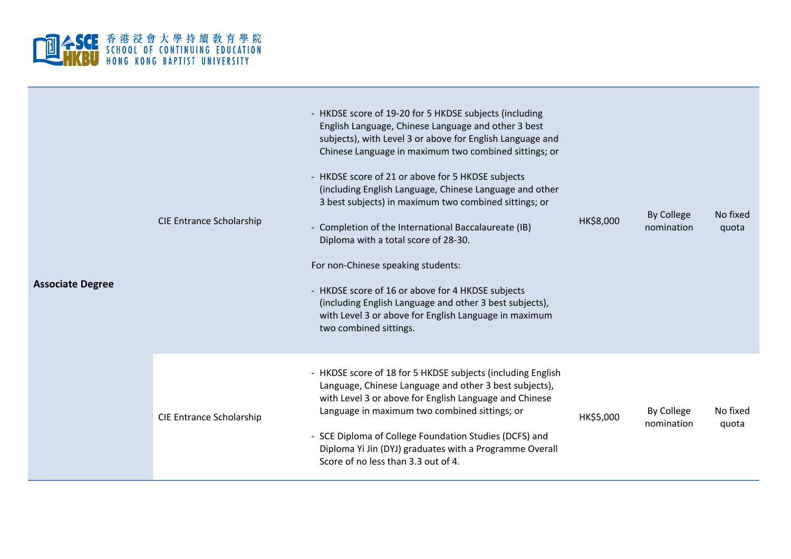

| <b>Associate Degree</b> | <b>CIE Entrance Scholarship</b> | - HKDSE score of 19-20 for 5 HKDSE subjects (including<br>English Language, Chinese Language and other 3 best<br>subjects), with Level 3 or above for English Language and<br>Chinese Language in maximum two combined sittings; or<br>- HKDSE score of 21 or above for 5 HKDSE subjects<br>(including English Language, Chinese Language and other<br>3 best subjects) in maximum two combined sittings; or<br>- Completion of the International Baccalaureate (IB)<br>Diploma with a total score of 28-30.<br>For non-Chinese speaking students:<br>- HKDSE score of 16 or above for 4 HKDSE subjects<br>(including English Language and other 3 best subjects),<br>with Level 3 or above for English Language in maximum<br>two combined sittings. | HK\$8,000 | By College<br>nomination | No fixed<br>quota |
|-------------------------|---------------------------------|-------------------------------------------------------------------------------------------------------------------------------------------------------------------------------------------------------------------------------------------------------------------------------------------------------------------------------------------------------------------------------------------------------------------------------------------------------------------------------------------------------------------------------------------------------------------------------------------------------------------------------------------------------------------------------------------------------------------------------------------------------|-----------|--------------------------|-------------------|
|                         | <b>CIE Entrance Scholarship</b> | - HKDSE score of 18 for 5 HKDSE subjects (including English<br>Language, Chinese Language and other 3 best subjects),<br>with Level 3 or above for English Language and Chinese<br>Language in maximum two combined sittings; or<br>- SCE Diploma of College Foundation Studies (DCFS) and<br>Diploma Yi Jin (DYJ) graduates with a Programme Overall<br>Score of no less than 3.3 out of 4.                                                                                                                                                                                                                                                                                                                                                          | HK\$5,000 | By College<br>nomination | No fixed<br>quota |